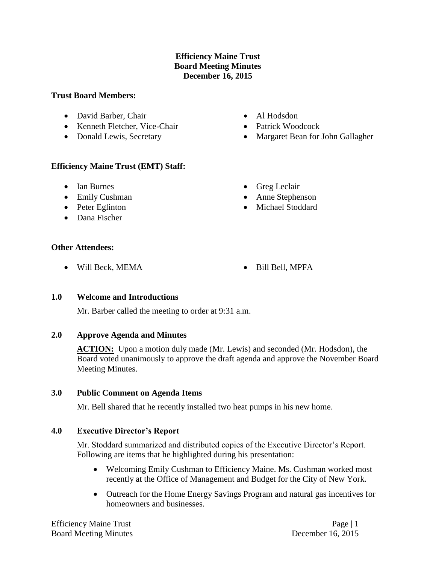### **Efficiency Maine Trust Board Meeting Minutes December 16, 2015**

#### **Trust Board Members:**

- David Barber, Chair
- Kenneth Fletcher, Vice-Chair
- Donald Lewis, Secretary

## **Efficiency Maine Trust (EMT) Staff:**

- Ian Burnes
- Emily Cushman
- Peter Eglinton
- Dana Fischer
- Al Hodsdon
- Patrick Woodcock
- Margaret Bean for John Gallagher
- Greg Leclair
- Anne Stephenson
- Michael Stoddard

#### **Other Attendees:**

- Will Beck, MEMA Bill Bell, MPFA
- 

#### **1.0 Welcome and Introductions**

Mr. Barber called the meeting to order at 9:31 a.m.

#### **2.0 Approve Agenda and Minutes**

ACTION: Upon a motion duly made (Mr. Lewis) and seconded (Mr. Hodsdon), the Board voted unanimously to approve the draft agenda and approve the November Board Meeting Minutes.

#### **3.0 Public Comment on Agenda Items**

Mr. Bell shared that he recently installed two heat pumps in his new home.

# **4.0 Executive Director's Report**

Mr. Stoddard summarized and distributed copies of the Executive Director's Report. Following are items that he highlighted during his presentation:

- Welcoming Emily Cushman to Efficiency Maine. Ms. Cushman worked most recently at the Office of Management and Budget for the City of New York.
- Outreach for the Home Energy Savings Program and natural gas incentives for homeowners and businesses.

Efficiency Maine Trust Page | 1 Board Meeting Minutes December 16, 2015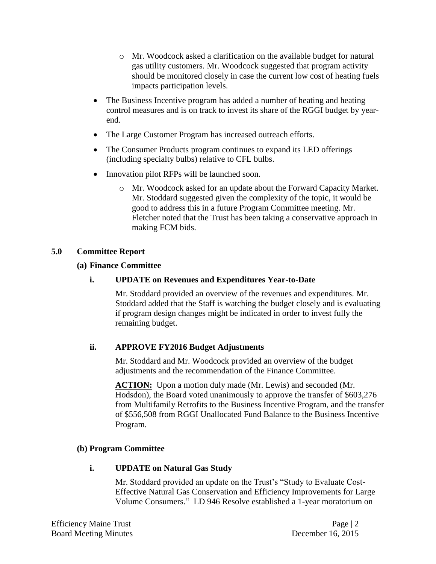- o Mr. Woodcock asked a clarification on the available budget for natural gas utility customers. Mr. Woodcock suggested that program activity should be monitored closely in case the current low cost of heating fuels impacts participation levels.
- The Business Incentive program has added a number of heating and heating control measures and is on track to invest its share of the RGGI budget by yearend.
- The Large Customer Program has increased outreach efforts.
- The Consumer Products program continues to expand its LED offerings (including specialty bulbs) relative to CFL bulbs.
- Innovation pilot RFPs will be launched soon.
	- o Mr. Woodcock asked for an update about the Forward Capacity Market. Mr. Stoddard suggested given the complexity of the topic, it would be good to address this in a future Program Committee meeting. Mr. Fletcher noted that the Trust has been taking a conservative approach in making FCM bids.

## **5.0 Committee Report**

#### **(a) Finance Committee**

# **i. UPDATE on Revenues and Expenditures Year-to-Date**

Mr. Stoddard provided an overview of the revenues and expenditures. Mr. Stoddard added that the Staff is watching the budget closely and is evaluating if program design changes might be indicated in order to invest fully the remaining budget.

# **ii. APPROVE FY2016 Budget Adjustments**

Mr. Stoddard and Mr. Woodcock provided an overview of the budget adjustments and the recommendation of the Finance Committee.

**ACTION:** Upon a motion duly made (Mr. Lewis) and seconded (Mr. Hodsdon), the Board voted unanimously to approve the transfer of \$603,276 from Multifamily Retrofits to the Business Incentive Program, and the transfer of \$556,508 from RGGI Unallocated Fund Balance to the Business Incentive Program.

#### **(b) Program Committee**

#### **i. UPDATE on Natural Gas Study**

Mr. Stoddard provided an update on the Trust's "Study to Evaluate Cost-Effective Natural Gas Conservation and Efficiency Improvements for Large Volume Consumers." LD 946 Resolve established a 1-year moratorium on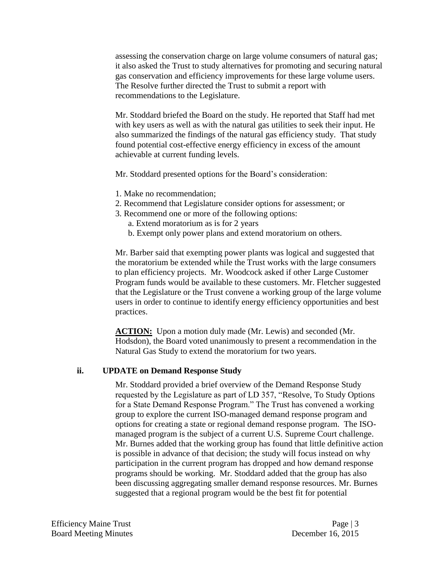assessing the conservation charge on large volume consumers of natural gas; it also asked the Trust to study alternatives for promoting and securing natural gas conservation and efficiency improvements for these large volume users. The Resolve further directed the Trust to submit a report with recommendations to the Legislature.

Mr. Stoddard briefed the Board on the study. He reported that Staff had met with key users as well as with the natural gas utilities to seek their input. He also summarized the findings of the natural gas efficiency study. That study found potential cost-effective energy efficiency in excess of the amount achievable at current funding levels.

Mr. Stoddard presented options for the Board's consideration:

- 1. Make no recommendation;
- 2. Recommend that Legislature consider options for assessment; or
- 3. Recommend one or more of the following options:
	- a. Extend moratorium as is for 2 years
	- b. Exempt only power plans and extend moratorium on others.

Mr. Barber said that exempting power plants was logical and suggested that the moratorium be extended while the Trust works with the large consumers to plan efficiency projects. Mr. Woodcock asked if other Large Customer Program funds would be available to these customers. Mr. Fletcher suggested that the Legislature or the Trust convene a working group of the large volume users in order to continue to identify energy efficiency opportunities and best practices.

**ACTION:** Upon a motion duly made (Mr. Lewis) and seconded (Mr. Hodsdon), the Board voted unanimously to present a recommendation in the Natural Gas Study to extend the moratorium for two years.

#### **ii. UPDATE on Demand Response Study**

Mr. Stoddard provided a brief overview of the Demand Response Study requested by the Legislature as part of LD 357, "Resolve, To Study Options for a State Demand Response Program." The Trust has convened a working group to explore the current ISO-managed demand response program and options for creating a state or regional demand response program. The ISOmanaged program is the subject of a current U.S. Supreme Court challenge. Mr. Burnes added that the working group has found that little definitive action is possible in advance of that decision; the study will focus instead on why participation in the current program has dropped and how demand response programs should be working. Mr. Stoddard added that the group has also been discussing aggregating smaller demand response resources. Mr. Burnes suggested that a regional program would be the best fit for potential